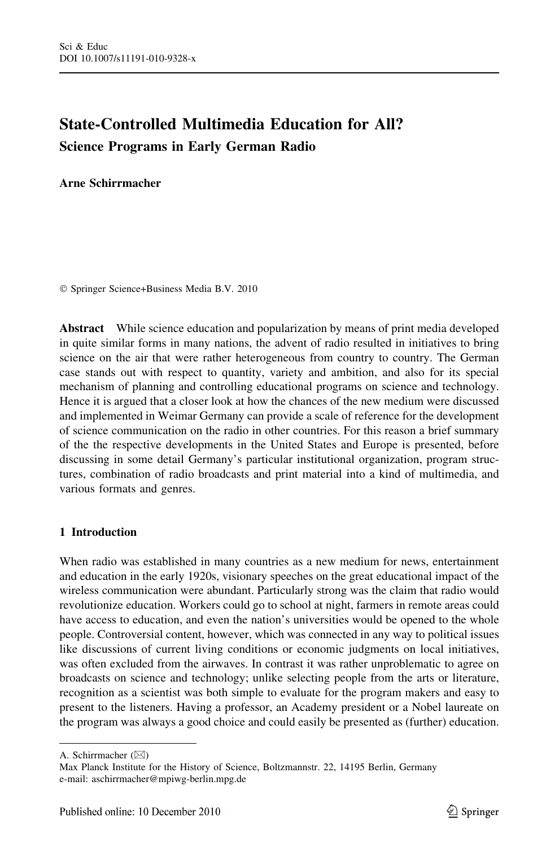# State-Controlled Multimedia Education for All? Science Programs in Early German Radio

Arne Schirrmacher

- Springer Science+Business Media B.V. 2010

Abstract While science education and popularization by means of print media developed in quite similar forms in many nations, the advent of radio resulted in initiatives to bring science on the air that were rather heterogeneous from country to country. The German case stands out with respect to quantity, variety and ambition, and also for its special mechanism of planning and controlling educational programs on science and technology. Hence it is argued that a closer look at how the chances of the new medium were discussed and implemented in Weimar Germany can provide a scale of reference for the development of science communication on the radio in other countries. For this reason a brief summary of the the respective developments in the United States and Europe is presented, before discussing in some detail Germany's particular institutional organization, program structures, combination of radio broadcasts and print material into a kind of multimedia, and various formats and genres.

# 1 Introduction

When radio was established in many countries as a new medium for news, entertainment and education in the early 1920s, visionary speeches on the great educational impact of the wireless communication were abundant. Particularly strong was the claim that radio would revolutionize education. Workers could go to school at night, farmers in remote areas could have access to education, and even the nation's universities would be opened to the whole people. Controversial content, however, which was connected in any way to political issues like discussions of current living conditions or economic judgments on local initiatives, was often excluded from the airwaves. In contrast it was rather unproblematic to agree on broadcasts on science and technology; unlike selecting people from the arts or literature, recognition as a scientist was both simple to evaluate for the program makers and easy to present to the listeners. Having a professor, an Academy president or a Nobel laureate on the program was always a good choice and could easily be presented as (further) education.

A. Schirrmacher  $(\boxtimes)$ 

Max Planck Institute for the History of Science, Boltzmannstr. 22, 14195 Berlin, Germany e-mail: aschirrmacher@mpiwg-berlin.mpg.de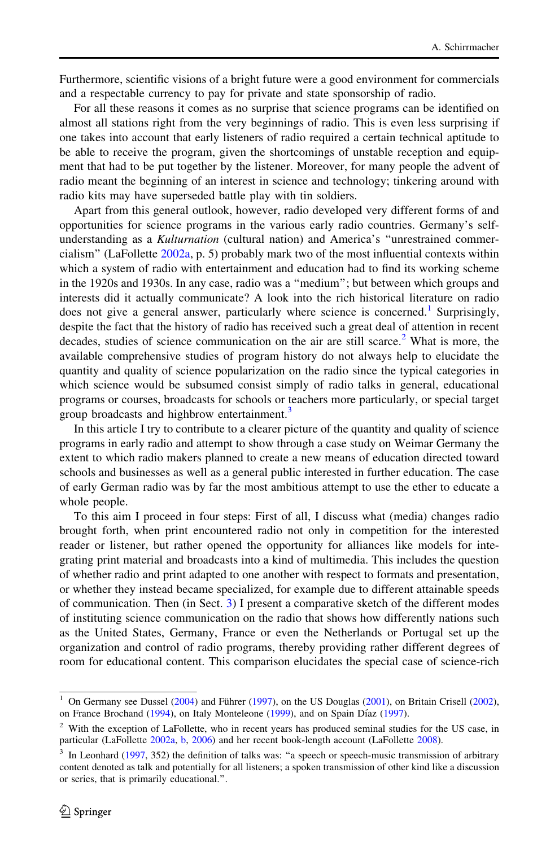Furthermore, scientific visions of a bright future were a good environment for commercials and a respectable currency to pay for private and state sponsorship of radio.

For all these reasons it comes as no surprise that science programs can be identified on almost all stations right from the very beginnings of radio. This is even less surprising if one takes into account that early listeners of radio required a certain technical aptitude to be able to receive the program, given the shortcomings of unstable reception and equipment that had to be put together by the listener. Moreover, for many people the advent of radio meant the beginning of an interest in science and technology; tinkering around with radio kits may have superseded battle play with tin soldiers.

Apart from this general outlook, however, radio developed very different forms of and opportunities for science programs in the various early radio countries. Germany's selfunderstanding as a Kulturnation (cultural nation) and America's "unrestrained commercialism'' (LaFollette [2002a,](#page-20-0) p. 5) probably mark two of the most influential contexts within which a system of radio with entertainment and education had to find its working scheme in the 1920s and 1930s. In any case, radio was a ''medium''; but between which groups and interests did it actually communicate? A look into the rich historical literature on radio does not give a general answer, particularly where science is concerned.<sup>1</sup> Surprisingly, despite the fact that the history of radio has received such a great deal of attention in recent decades, studies of science communication on the air are still scarce.<sup>2</sup> What is more, the available comprehensive studies of program history do not always help to elucidate the quantity and quality of science popularization on the radio since the typical categories in which science would be subsumed consist simply of radio talks in general, educational programs or courses, broadcasts for schools or teachers more particularly, or special target group broadcasts and highbrow entertainment.<sup>3</sup>

In this article I try to contribute to a clearer picture of the quantity and quality of science programs in early radio and attempt to show through a case study on Weimar Germany the extent to which radio makers planned to create a new means of education directed toward schools and businesses as well as a general public interested in further education. The case of early German radio was by far the most ambitious attempt to use the ether to educate a whole people.

To this aim I proceed in four steps: First of all, I discuss what (media) changes radio brought forth, when print encountered radio not only in competition for the interested reader or listener, but rather opened the opportunity for alliances like models for integrating print material and broadcasts into a kind of multimedia. This includes the question of whether radio and print adapted to one another with respect to formats and presentation, or whether they instead became specialized, for example due to different attainable speeds of communication. Then (in Sect. [3\)](#page-5-0) I present a comparative sketch of the different modes of instituting science communication on the radio that shows how differently nations such as the United States, Germany, France or even the Netherlands or Portugal set up the organization and control of radio programs, thereby providing rather different degrees of room for educational content. This comparison elucidates the special case of science-rich

On Germany see Dussel [\(2004](#page-19-0)) and Führer [\(1997](#page-20-0)), on the US Douglas ([2001\)](#page-19-0), on Britain Crisell [\(2002\)](#page-19-0), on France Brochand ([1994\)](#page-19-0), on Italy Monteleone [\(1999](#page-20-0)), and on Spain Díaz ([1997](#page-19-0)).

<sup>&</sup>lt;sup>2</sup> With the exception of LaFollette, who in recent years has produced seminal studies for the US case, in particular (LaFollette [2002a,](#page-20-0) [b](#page-20-0), [2006\)](#page-20-0) and her recent book-length account (LaFollette [2008](#page-20-0)).

<sup>&</sup>lt;sup>3</sup> In Leonhard [\(1997](#page-20-0), 352) the definition of talks was: "a speech or speech-music transmission of arbitrary content denoted as talk and potentially for all listeners; a spoken transmission of other kind like a discussion or series, that is primarily educational.''.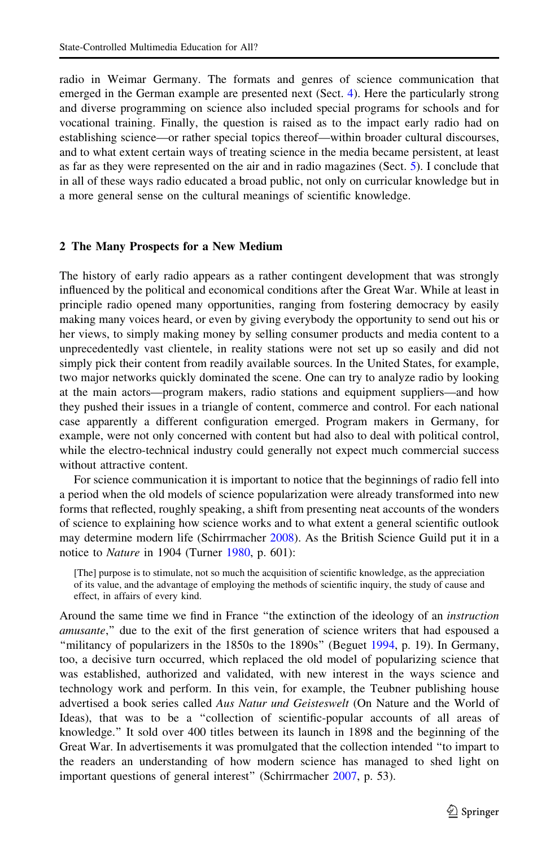radio in Weimar Germany. The formats and genres of science communication that emerged in the German example are presented next (Sect. [4](#page-11-0)). Here the particularly strong and diverse programming on science also included special programs for schools and for vocational training. Finally, the question is raised as to the impact early radio had on establishing science—or rather special topics thereof—within broader cultural discourses, and to what extent certain ways of treating science in the media became persistent, at least as far as they were represented on the air and in radio magazines (Sect. [5](#page-15-0)). I conclude that in all of these ways radio educated a broad public, not only on curricular knowledge but in a more general sense on the cultural meanings of scientific knowledge.

#### 2 The Many Prospects for a New Medium

The history of early radio appears as a rather contingent development that was strongly influenced by the political and economical conditions after the Great War. While at least in principle radio opened many opportunities, ranging from fostering democracy by easily making many voices heard, or even by giving everybody the opportunity to send out his or her views, to simply making money by selling consumer products and media content to a unprecedentedly vast clientele, in reality stations were not set up so easily and did not simply pick their content from readily available sources. In the United States, for example, two major networks quickly dominated the scene. One can try to analyze radio by looking at the main actors—program makers, radio stations and equipment suppliers—and how they pushed their issues in a triangle of content, commerce and control. For each national case apparently a different configuration emerged. Program makers in Germany, for example, were not only concerned with content but had also to deal with political control, while the electro-technical industry could generally not expect much commercial success without attractive content.

For science communication it is important to notice that the beginnings of radio fell into a period when the old models of science popularization were already transformed into new forms that reflected, roughly speaking, a shift from presenting neat accounts of the wonders of science to explaining how science works and to what extent a general scientific outlook may determine modern life (Schirrmacher [2008](#page-20-0)). As the British Science Guild put it in a notice to *Nature* in 1904 (Turner [1980,](#page-20-0) p. 601):

[The] purpose is to stimulate, not so much the acquisition of scientific knowledge, as the appreciation of its value, and the advantage of employing the methods of scientific inquiry, the study of cause and effect, in affairs of every kind.

Around the same time we find in France "the extinction of the ideology of an *instruction* amusante," due to the exit of the first generation of science writers that had espoused a "militancy of popularizers in the 1850s to the 1890s" (Beguet [1994,](#page-19-0) p. 19). In Germany, too, a decisive turn occurred, which replaced the old model of popularizing science that was established, authorized and validated, with new interest in the ways science and technology work and perform. In this vein, for example, the Teubner publishing house advertised a book series called Aus Natur und Geisteswelt (On Nature and the World of Ideas), that was to be a ''collection of scientific-popular accounts of all areas of knowledge.'' It sold over 400 titles between its launch in 1898 and the beginning of the Great War. In advertisements it was promulgated that the collection intended ''to impart to the readers an understanding of how modern science has managed to shed light on important questions of general interest" (Schirrmacher [2007,](#page-20-0) p. 53).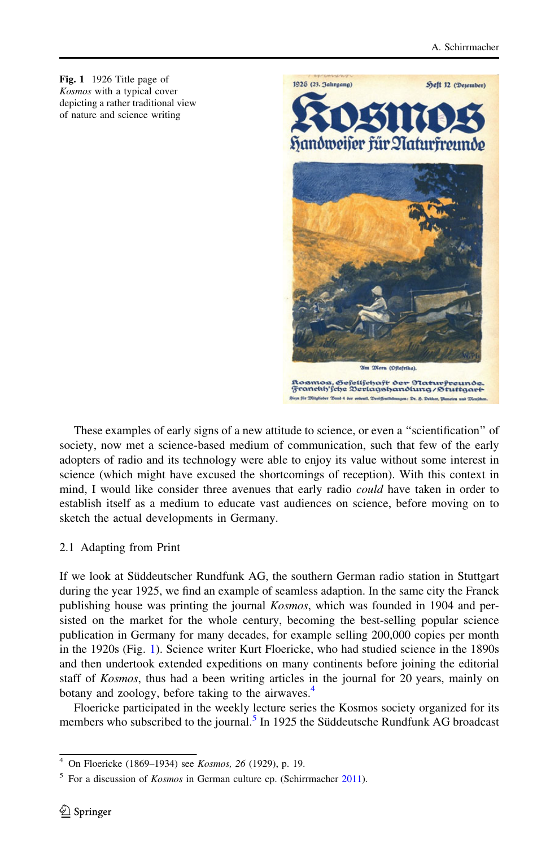Fig. 1 1926 Title page of Kosmos with a typical cover depicting a rather traditional view of nature and science writing



These examples of early signs of a new attitude to science, or even a ''scientification'' of society, now met a science-based medium of communication, such that few of the early adopters of radio and its technology were able to enjoy its value without some interest in science (which might have excused the shortcomings of reception). With this context in mind, I would like consider three avenues that early radio *could* have taken in order to establish itself as a medium to educate vast audiences on science, before moving on to sketch the actual developments in Germany.

## 2.1 Adapting from Print

If we look at Süddeutscher Rundfunk AG, the southern German radio station in Stuttgart during the year 1925, we find an example of seamless adaption. In the same city the Franck publishing house was printing the journal Kosmos, which was founded in 1904 and persisted on the market for the whole century, becoming the best-selling popular science publication in Germany for many decades, for example selling 200,000 copies per month in the 1920s (Fig. 1). Science writer Kurt Floericke, who had studied science in the 1890s and then undertook extended expeditions on many continents before joining the editorial staff of *Kosmos*, thus had a been writing articles in the journal for 20 years, mainly on botany and zoology, before taking to the airwaves.<sup>4</sup>

Floericke participated in the weekly lecture series the Kosmos society organized for its members who subscribed to the journal.<sup>5</sup> In 1925 the Süddeutsche Rundfunk AG broadcast

<sup>4</sup> On Floericke (1869–1934) see Kosmos, 26 (1929), p. 19.

<sup>&</sup>lt;sup>5</sup> For a discussion of *Kosmos* in German culture cp. (Schirrmacher [2011\)](#page-20-0).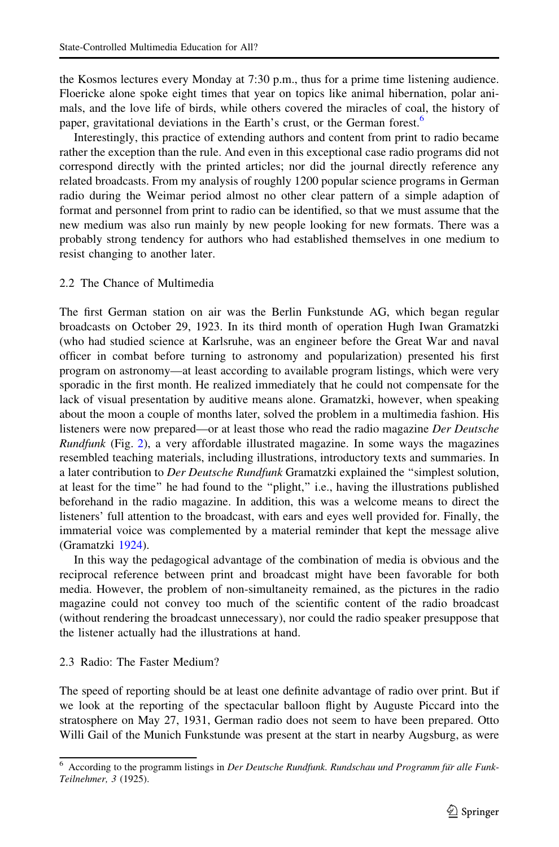the Kosmos lectures every Monday at 7:30 p.m., thus for a prime time listening audience. Floericke alone spoke eight times that year on topics like animal hibernation, polar animals, and the love life of birds, while others covered the miracles of coal, the history of paper, gravitational deviations in the Earth's crust, or the German forest.<sup>6</sup>

Interestingly, this practice of extending authors and content from print to radio became rather the exception than the rule. And even in this exceptional case radio programs did not correspond directly with the printed articles; nor did the journal directly reference any related broadcasts. From my analysis of roughly 1200 popular science programs in German radio during the Weimar period almost no other clear pattern of a simple adaption of format and personnel from print to radio can be identified, so that we must assume that the new medium was also run mainly by new people looking for new formats. There was a probably strong tendency for authors who had established themselves in one medium to resist changing to another later.

#### 2.2 The Chance of Multimedia

The first German station on air was the Berlin Funkstunde AG, which began regular broadcasts on October 29, 1923. In its third month of operation Hugh Iwan Gramatzki (who had studied science at Karlsruhe, was an engineer before the Great War and naval officer in combat before turning to astronomy and popularization) presented his first program on astronomy—at least according to available program listings, which were very sporadic in the first month. He realized immediately that he could not compensate for the lack of visual presentation by auditive means alone. Gramatzki, however, when speaking about the moon a couple of months later, solved the problem in a multimedia fashion. His listeners were now prepared—or at least those who read the radio magazine Der Deutsche Rundfunk (Fig. [2\)](#page-5-0), a very affordable illustrated magazine. In some ways the magazines resembled teaching materials, including illustrations, introductory texts and summaries. In a later contribution to *Der Deutsche Rundfunk* Gramatzki explained the "simplest solution, at least for the time'' he had found to the ''plight,'' i.e., having the illustrations published beforehand in the radio magazine. In addition, this was a welcome means to direct the listeners' full attention to the broadcast, with ears and eyes well provided for. Finally, the immaterial voice was complemented by a material reminder that kept the message alive (Gramatzki [1924](#page-20-0)).

In this way the pedagogical advantage of the combination of media is obvious and the reciprocal reference between print and broadcast might have been favorable for both media. However, the problem of non-simultaneity remained, as the pictures in the radio magazine could not convey too much of the scientific content of the radio broadcast (without rendering the broadcast unnecessary), nor could the radio speaker presuppose that the listener actually had the illustrations at hand.

## 2.3 Radio: The Faster Medium?

The speed of reporting should be at least one definite advantage of radio over print. But if we look at the reporting of the spectacular balloon flight by Auguste Piccard into the stratosphere on May 27, 1931, German radio does not seem to have been prepared. Otto Willi Gail of the Munich Funkstunde was present at the start in nearby Augsburg, as were

According to the programm listings in Der Deutsche Rundfunk. Rundschau und Programm für alle Funk-Teilnehmer, 3 (1925).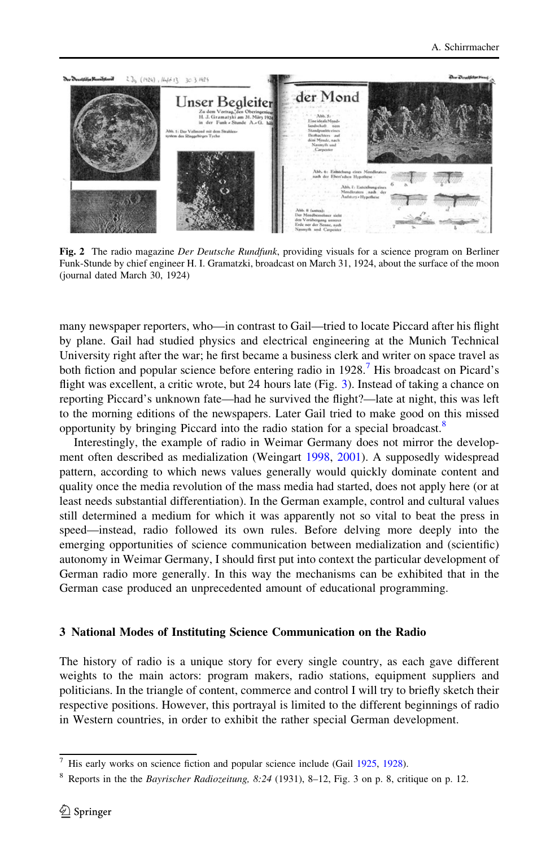<span id="page-5-0"></span>

Fig. 2 The radio magazine Der Deutsche Rundfunk, providing visuals for a science program on Berliner Funk-Stunde by chief engineer H. I. Gramatzki, broadcast on March 31, 1924, about the surface of the moon (journal dated March 30, 1924)

many newspaper reporters, who—in contrast to Gail—tried to locate Piccard after his flight by plane. Gail had studied physics and electrical engineering at the Munich Technical University right after the war; he first became a business clerk and writer on space travel as both fiction and popular science before entering radio in 1928.<sup>7</sup> His broadcast on Picard's flight was excellent, a critic wrote, but 24 hours late (Fig. [3](#page-6-0)). Instead of taking a chance on reporting Piccard's unknown fate—had he survived the flight?—late at night, this was left to the morning editions of the newspapers. Later Gail tried to make good on this missed opportunity by bringing Piccard into the radio station for a special broadcast.<sup>8</sup>

Interestingly, the example of radio in Weimar Germany does not mirror the development often described as medialization (Weingart [1998](#page-20-0), [2001](#page-20-0)). A supposedly widespread pattern, according to which news values generally would quickly dominate content and quality once the media revolution of the mass media had started, does not apply here (or at least needs substantial differentiation). In the German example, control and cultural values still determined a medium for which it was apparently not so vital to beat the press in speed—instead, radio followed its own rules. Before delving more deeply into the emerging opportunities of science communication between medialization and (scientific) autonomy in Weimar Germany, I should first put into context the particular development of German radio more generally. In this way the mechanisms can be exhibited that in the German case produced an unprecedented amount of educational programming.

#### 3 National Modes of Instituting Science Communication on the Radio

The history of radio is a unique story for every single country, as each gave different weights to the main actors: program makers, radio stations, equipment suppliers and politicians. In the triangle of content, commerce and control I will try to briefly sketch their respective positions. However, this portrayal is limited to the different beginnings of radio in Western countries, in order to exhibit the rather special German development.

His early works on science fiction and popular science include (Gail [1925](#page-20-0), [1928\)](#page-20-0).

<sup>8</sup> Reports in the the Bayrischer Radiozeitung, 8:24 (1931), 8–12, Fig. 3 on p. 8, critique on p. 12.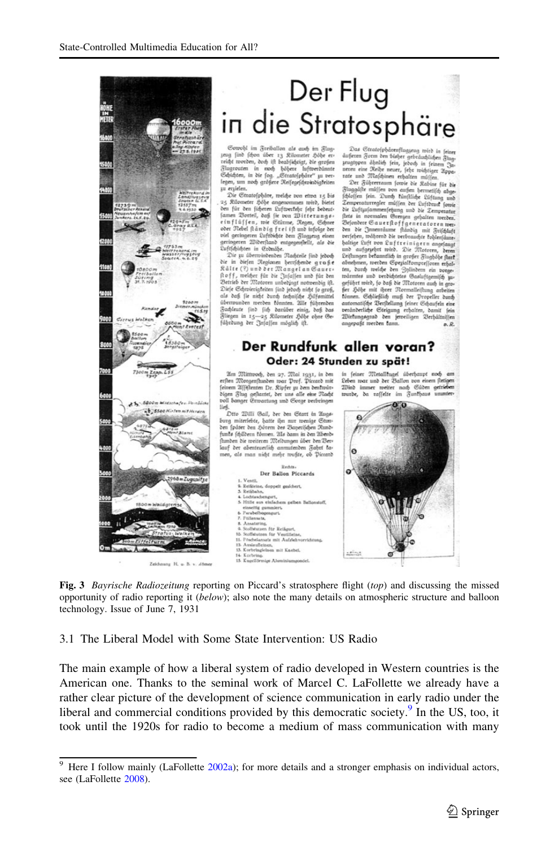<span id="page-6-0"></span>

Der Flug<br>in die Stratosphäre

Gotvoll im Freiballon als auch im Flugs<br>seug find fchon úber 13 Rilometer Bóbe ers<br>reicht morden, doch ift beabfichtigt, die großen renst moroen, oost jit beachspiegt, die gropten<br>Gdyldyten, in die fog. "Etratofphäre" zu per-<br>(Edyldyten, in die fog. "Etratofphäre" zu per-<br>Irgen, um noch größere Reifegefdswindigkeiten

legn, um noch größere Reifespfortenbägteiten<br>
19 er Getatofphäre, redde von etna 15 bis<br>
20 er Getatofphäre, redde von etna 15 bis<br>
25 Richarder 2686 angenommen trivb. bist<br>
26 er für 20 erfl. Aufgrund 20 erfl. (ann 20 er viel geringeren Luftdichte dem Fluggeng  $\n *binom{m}{m}*$ ora geringeren 200erfland entgegenftellt, als die<br>Luftfdjichten in Erdnähe,<br>Luftfdjichten in Erdnähe,<br>Die zu überwindenden Machteile find jedoch

die in diefen Regionen herrfchende graße<br>Rålte (?) und der Mangel an Gauer. ft off, welcher für die Infassen und für den Dieje Cchwierigteiten find jedoch nicht jo groß, als daß fie nicht durch technische Silfsmittel<br>überwunden werden tonnten. 2016 führenden Fachleute find fich darüber einig, daß das Fliegen in 15-25 Rilometer Sobe<br>fahrdung der Jnfaffen möglich ift.

2018 Stratoppharenfluggeug wird in fe<br>dußeren Form den bisher gebräuchlichen F<br>geugtspern abnlich fein, jedoch in feinem  $\sim$ eine Reihe neuer, fehr wichtiger Appa. taten eine Steuer meuer, jege wurdig

Der Führerraum forvie die Rabine für die zer gusprettaum jorde die Rabine für die<br>Fluggifte milfen von aufen bermettijd abge<br>fdiolfen fein. Durch tingliiche Liftung und<br>Temperaturregler milfen der Luftdruck jonie fchoffen fein. Durch fünftliche Lüftung und<br>Zemperaturregler müffen der Luftdruck forsie<br>die Luftwfammenfehang und die Zemperatur<br>ftris in normalen Grengen gehalten werden.<br>Zeichdere Grauss florensen ftets in normalen Grenzen gehalten werden.<br>Befondere Gauerftoffgeneratoren werd den die Innenraume ständig mit Frischluft iftige Luft von Luftreinigern angefaugt sourge cart von 2 ut terte in ist eine mag aufgegeht teite. Die Motoren, deren teilungen bekanntlich in großer Finghöße flatt<br>Deiftungen bekanntlich in großer Finghöße flatt accustomer response to the Splinkern ein bestehten.<br>
ten, durch treiche den Bolinkern ein bestehtense und berdichtetes Gasluftgemisch gus<br>
geführt mird, jo daß die Motoren auch in grogefuort toute, jo bag oie Acororen aus<br>fier Sjöhe mit ihrer Normalleistung per 2000e mit ihrer 30cemalieilung arbeiten<br>toman. Colliefiliof muß der Propeller durch<br>automatifche Berftellung feiner Gobaufeln eine<br>peränderliche Geleigung erhalten, damit fein<br>2Birtungsgrad den feroelligen Berbältniffe angepaßt merden tar  $R$ 

# Der Rundfunk allen voran? Oder: 24 Stunden zu spät!

 $\label{eq:1} \begin{array}{c} \mathfrak{A}m \hspace{0.1cm} {\rm Mittroot}\mbox{$\mathfrak{h}$, } \text{den}\hspace{0.1cm} \mathfrak{g}\mbox{$\mathfrak{g}$, } \text{real}\hspace{0.1cm} \mathfrak{g}\mbox{$\mathfrak{g}$, in } \text{den} \\ \text{er} \mbox{$\mathfrak{f}$, } \text{Mocgen}\mbox{$\mathfrak{f}$, } \text{non-} \text{check of} \hspace{0.1cm} \text{m\'e} \\ \text{ferm}\hspace{0.1cm} {\rm Mif}\mbox{$\mathfrak{f}$, } \text{$ digen Flug gestartet, der uns alle eine Nacht<br>boll banger Erwartung und Gorge berbringen ließ.

Otto 2011; Gail, der den Gtart in Huasburg miterlebte, hatte ihn nur wenige Gtan-<br>den fpåter den Sörern des Banerifchen Rundfunte fchildern tommen. 211s dann in den 21bende<br>fumden die weiteren Meldungen über den Berlauf der abenteuerlich annutenden Sabrt taman nicht mehr wußte, ob Picca  $_{\mathrm{cls}}$ 



in feiner Metallbunel überhaupt noch am un jeuner victenutrugen undergraupt noch fleigen<br>26 mar und der Ballon von einem fletigen<br>20 mar und verler nach Güden getrieben<br>10 mar von Flette im Funkhaus unumer



Fig. 3 Bayrische Radiozeitung reporting on Piccard's stratosphere flight (top) and discussing the missed opportunity of radio reporting it (below); also note the many details on atmospheric structure and balloon technology. Issue of June 7, 1931

## 3.1 The Liberal Model with Some State Intervention: US Radio

The main example of how a liberal system of radio developed in Western countries is the American one. Thanks to the seminal work of Marcel C. LaFollette we already have a rather clear picture of the development of science communication in early radio under the liberal and commercial conditions provided by this democratic society.<sup>9</sup> In the US, too, it took until the 1920s for radio to become a medium of mass communication with many

Here I follow mainly (LaFollette [2002a\)](#page-20-0); for more details and a stronger emphasis on individual actors, see (LaFollette [2008\)](#page-20-0).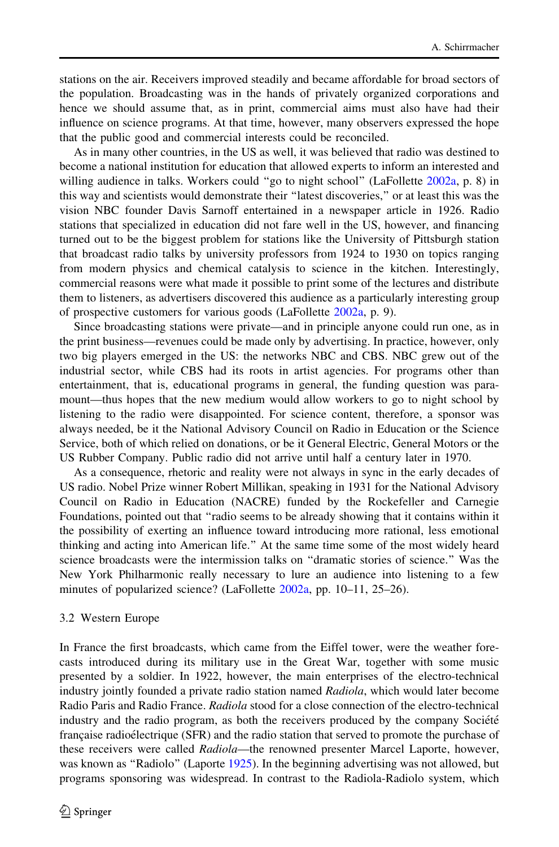stations on the air. Receivers improved steadily and became affordable for broad sectors of the population. Broadcasting was in the hands of privately organized corporations and hence we should assume that, as in print, commercial aims must also have had their influence on science programs. At that time, however, many observers expressed the hope that the public good and commercial interests could be reconciled.

As in many other countries, in the US as well, it was believed that radio was destined to become a national institution for education that allowed experts to inform an interested and willing audience in talks. Workers could "go to night school" (LaFollette [2002a,](#page-20-0) p. 8) in this way and scientists would demonstrate their ''latest discoveries,'' or at least this was the vision NBC founder Davis Sarnoff entertained in a newspaper article in 1926. Radio stations that specialized in education did not fare well in the US, however, and financing turned out to be the biggest problem for stations like the University of Pittsburgh station that broadcast radio talks by university professors from 1924 to 1930 on topics ranging from modern physics and chemical catalysis to science in the kitchen. Interestingly, commercial reasons were what made it possible to print some of the lectures and distribute them to listeners, as advertisers discovered this audience as a particularly interesting group of prospective customers for various goods (LaFollette [2002a,](#page-20-0) p. 9).

Since broadcasting stations were private—and in principle anyone could run one, as in the print business—revenues could be made only by advertising. In practice, however, only two big players emerged in the US: the networks NBC and CBS. NBC grew out of the industrial sector, while CBS had its roots in artist agencies. For programs other than entertainment, that is, educational programs in general, the funding question was paramount—thus hopes that the new medium would allow workers to go to night school by listening to the radio were disappointed. For science content, therefore, a sponsor was always needed, be it the National Advisory Council on Radio in Education or the Science Service, both of which relied on donations, or be it General Electric, General Motors or the US Rubber Company. Public radio did not arrive until half a century later in 1970.

As a consequence, rhetoric and reality were not always in sync in the early decades of US radio. Nobel Prize winner Robert Millikan, speaking in 1931 for the National Advisory Council on Radio in Education (NACRE) funded by the Rockefeller and Carnegie Foundations, pointed out that ''radio seems to be already showing that it contains within it the possibility of exerting an influence toward introducing more rational, less emotional thinking and acting into American life.'' At the same time some of the most widely heard science broadcasts were the intermission talks on ''dramatic stories of science.'' Was the New York Philharmonic really necessary to lure an audience into listening to a few minutes of popularized science? (LaFollette [2002a,](#page-20-0) pp. 10–11, 25–26).

#### 3.2 Western Europe

In France the first broadcasts, which came from the Eiffel tower, were the weather forecasts introduced during its military use in the Great War, together with some music presented by a soldier. In 1922, however, the main enterprises of the electro-technical industry jointly founded a private radio station named Radiola, which would later become Radio Paris and Radio France. Radiola stood for a close connection of the electro-technical industry and the radio program, as both the receivers produced by the company Société française radioélectrique (SFR) and the radio station that served to promote the purchase of these receivers were called *Radiola*—the renowned presenter Marcel Laporte, however, was known as "Radiolo" (Laporte [1925](#page-20-0)). In the beginning advertising was not allowed, but programs sponsoring was widespread. In contrast to the Radiola-Radiolo system, which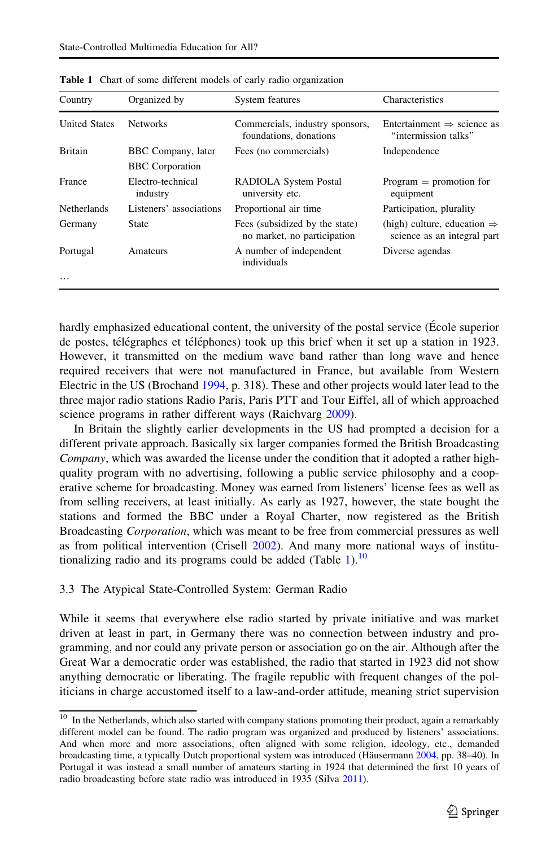| Country              | Organized by                  | System features                                               | Characteristics                                                        |
|----------------------|-------------------------------|---------------------------------------------------------------|------------------------------------------------------------------------|
| <b>United States</b> | <b>Networks</b>               | Commercials, industry sponsors,<br>foundations, donations     | Entertainment $\Rightarrow$ science as<br>"intermission talks"         |
| <b>Britain</b>       | BBC Company, later            | Fees (no commercials)                                         | Independence                                                           |
|                      | <b>BBC</b> Corporation        |                                                               |                                                                        |
| France               | Electro-technical<br>industry | RADIOLA System Postal<br>university etc.                      | $Program = promotion for$<br>equipment                                 |
| <b>Netherlands</b>   | Listeners' associations       | Proportional air time                                         | Participation, plurality                                               |
| Germany              | <b>State</b>                  | Fees (subsidized by the state)<br>no market, no participation | (high) culture, education $\Rightarrow$<br>science as an integral part |
| Portugal             | Amateurs                      | A number of independent<br>individuals                        | Diverse agendas                                                        |
| $\cdots$             |                               |                                                               |                                                                        |

Table 1 Chart of some different models of early radio organization

hardly emphasized educational content, the university of the postal service (Ecole superior de postes, télégraphes et téléphones) took up this brief when it set up a station in 1923. However, it transmitted on the medium wave band rather than long wave and hence required receivers that were not manufactured in France, but available from Western Electric in the US (Brochand [1994,](#page-19-0) p. 318). These and other projects would later lead to the three major radio stations Radio Paris, Paris PTT and Tour Eiffel, all of which approached science programs in rather different ways (Raichvarg [2009](#page-20-0)).

In Britain the slightly earlier developments in the US had prompted a decision for a different private approach. Basically six larger companies formed the British Broadcasting Company, which was awarded the license under the condition that it adopted a rather highquality program with no advertising, following a public service philosophy and a cooperative scheme for broadcasting. Money was earned from listeners' license fees as well as from selling receivers, at least initially. As early as 1927, however, the state bought the stations and formed the BBC under a Royal Charter, now registered as the British Broadcasting Corporation, which was meant to be free from commercial pressures as well as from political intervention (Crisell [2002\)](#page-19-0). And many more national ways of institutionalizing radio and its programs could be added (Table 1). $^{10}$ 

#### 3.3 The Atypical State-Controlled System: German Radio

While it seems that everywhere else radio started by private initiative and was market driven at least in part, in Germany there was no connection between industry and programming, and nor could any private person or association go on the air. Although after the Great War a democratic order was established, the radio that started in 1923 did not show anything democratic or liberating. The fragile republic with frequent changes of the politicians in charge accustomed itself to a law-and-order attitude, meaning strict supervision

 $10$  In the Netherlands, which also started with company stations promoting their product, again a remarkably different model can be found. The radio program was organized and produced by listeners' associations. And when more and more associations, often aligned with some religion, ideology, etc., demanded broadcasting time, a typically Dutch proportional system was introduced (Häusermann [2004](#page-20-0), pp. 38-40). In Portugal it was instead a small number of amateurs starting in 1924 that determined the first 10 years of radio broadcasting before state radio was introduced in 1935 (Silva [2011](#page-20-0)).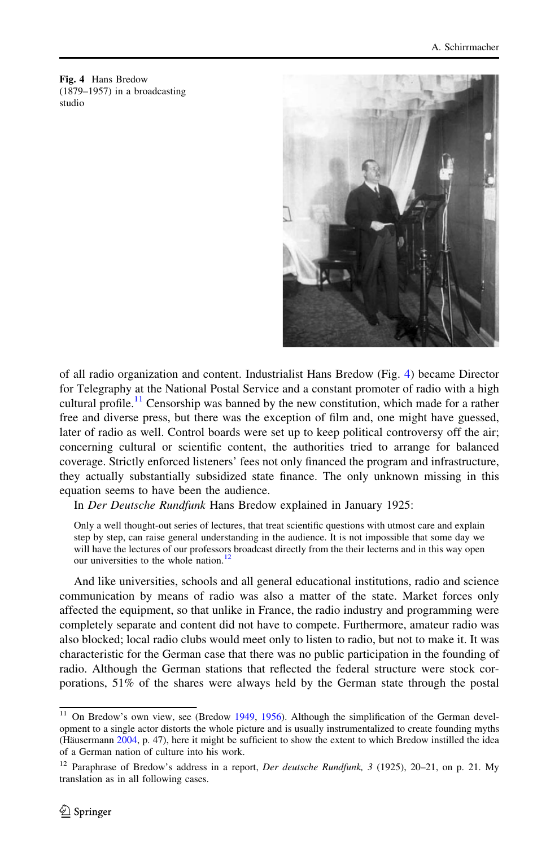Fig. 4 Hans Bredow (1879–1957) in a broadcasting studio



of all radio organization and content. Industrialist Hans Bredow (Fig. 4) became Director for Telegraphy at the National Postal Service and a constant promoter of radio with a high cultural profile.<sup>11</sup> Censorship was banned by the new constitution, which made for a rather free and diverse press, but there was the exception of film and, one might have guessed, later of radio as well. Control boards were set up to keep political controversy off the air; concerning cultural or scientific content, the authorities tried to arrange for balanced coverage. Strictly enforced listeners' fees not only financed the program and infrastructure, they actually substantially subsidized state finance. The only unknown missing in this equation seems to have been the audience.

In Der Deutsche Rundfunk Hans Bredow explained in January 1925:

Only a well thought-out series of lectures, that treat scientific questions with utmost care and explain step by step, can raise general understanding in the audience. It is not impossible that some day we will have the lectures of our professors broadcast directly from the their lecterns and in this way open our universities to the whole nation.<sup>1</sup>

And like universities, schools and all general educational institutions, radio and science communication by means of radio was also a matter of the state. Market forces only affected the equipment, so that unlike in France, the radio industry and programming were completely separate and content did not have to compete. Furthermore, amateur radio was also blocked; local radio clubs would meet only to listen to radio, but not to make it. It was characteristic for the German case that there was no public participation in the founding of radio. Although the German stations that reflected the federal structure were stock corporations, 51% of the shares were always held by the German state through the postal

<sup>&</sup>lt;sup>11</sup> On Bredow's own view, see (Bredow [1949](#page-19-0), [1956](#page-19-0)). Although the simplification of the German development to a single actor distorts the whole picture and is usually instrumentalized to create founding myths (Häusermann [2004,](#page-20-0) p. 47), here it might be sufficient to show the extent to which Bredow instilled the idea of a German nation of culture into his work.

<sup>&</sup>lt;sup>12</sup> Paraphrase of Bredow's address in a report, Der deutsche Rundfunk, 3 (1925), 20-21, on p. 21. My translation as in all following cases.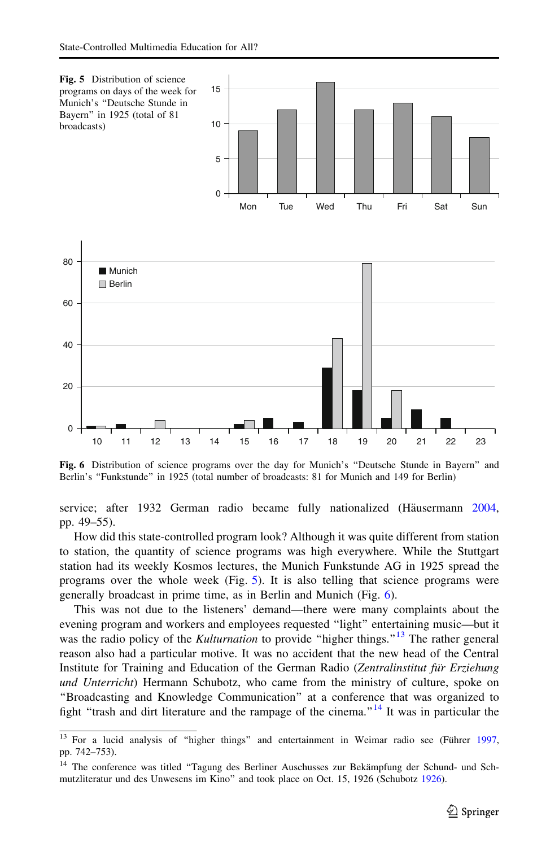

Fig. 6 Distribution of science programs over the day for Munich's ''Deutsche Stunde in Bayern'' and Berlin's "Funkstunde" in 1925 (total number of broadcasts: 81 for Munich and 149 for Berlin)

service; after 1932 German radio became fully nationalized (Häusermann [2004](#page-20-0), pp. 49–55).

How did this state-controlled program look? Although it was quite different from station to station, the quantity of science programs was high everywhere. While the Stuttgart station had its weekly Kosmos lectures, the Munich Funkstunde AG in 1925 spread the programs over the whole week (Fig. 5). It is also telling that science programs were generally broadcast in prime time, as in Berlin and Munich (Fig. 6).

This was not due to the listeners' demand—there were many complaints about the evening program and workers and employees requested ''light'' entertaining music—but it was the radio policy of the *Kulturnation* to provide "higher things."<sup>13</sup> The rather general reason also had a particular motive. It was no accident that the new head of the Central Institute for Training and Education of the German Radio (Zentralinstitut für Erziehung und Unterricht) Hermann Schubotz, who came from the ministry of culture, spoke on ''Broadcasting and Knowledge Communication'' at a conference that was organized to fight "trash and dirt literature and the rampage of the cinema."<sup>14</sup> It was in particular the

<sup>&</sup>lt;sup>13</sup> For a lucid analysis of "higher things" and entertainment in Weimar radio see (Führer [1997,](#page-20-0) pp. 742–753).

<sup>&</sup>lt;sup>14</sup> The conference was titled "Tagung des Berliner Auschusses zur Bekämpfung der Schund- und Schmutzliteratur und des Unwesens im Kino'' and took place on Oct. 15, 1926 (Schubotz [1926](#page-20-0)).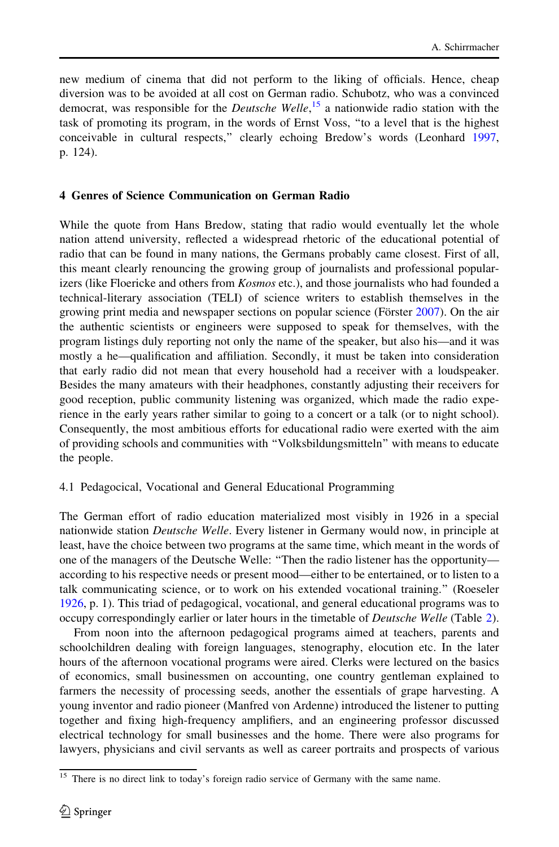<span id="page-11-0"></span>new medium of cinema that did not perform to the liking of officials. Hence, cheap diversion was to be avoided at all cost on German radio. Schubotz, who was a convinced democrat, was responsible for the *Deutsche Welle*,<sup>15</sup> a nationwide radio station with the task of promoting its program, in the words of Ernst Voss, ''to a level that is the highest conceivable in cultural respects,'' clearly echoing Bredow's words (Leonhard [1997](#page-20-0), p. 124).

# 4 Genres of Science Communication on German Radio

While the quote from Hans Bredow, stating that radio would eventually let the whole nation attend university, reflected a widespread rhetoric of the educational potential of radio that can be found in many nations, the Germans probably came closest. First of all, this meant clearly renouncing the growing group of journalists and professional popularizers (like Floericke and others from Kosmos etc.), and those journalists who had founded a technical-literary association (TELI) of science writers to establish themselves in the growing print media and newspaper sections on popular science (Förster [2007\)](#page-19-0). On the air the authentic scientists or engineers were supposed to speak for themselves, with the program listings duly reporting not only the name of the speaker, but also his—and it was mostly a he—qualification and affiliation. Secondly, it must be taken into consideration that early radio did not mean that every household had a receiver with a loudspeaker. Besides the many amateurs with their headphones, constantly adjusting their receivers for good reception, public community listening was organized, which made the radio experience in the early years rather similar to going to a concert or a talk (or to night school). Consequently, the most ambitious efforts for educational radio were exerted with the aim of providing schools and communities with ''Volksbildungsmitteln'' with means to educate the people.

# 4.1 Pedagocical, Vocational and General Educational Programming

The German effort of radio education materialized most visibly in 1926 in a special nationwide station *Deutsche Welle*. Every listener in Germany would now, in principle at least, have the choice between two programs at the same time, which meant in the words of one of the managers of the Deutsche Welle: ''Then the radio listener has the opportunity according to his respective needs or present mood—either to be entertained, or to listen to a talk communicating science, or to work on his extended vocational training.'' (Roeseler [1926,](#page-20-0) p. 1). This triad of pedagogical, vocational, and general educational programs was to occupy correspondingly earlier or later hours in the timetable of Deutsche Welle (Table [2](#page-12-0)).

From noon into the afternoon pedagogical programs aimed at teachers, parents and schoolchildren dealing with foreign languages, stenography, elocution etc. In the later hours of the afternoon vocational programs were aired. Clerks were lectured on the basics of economics, small businessmen on accounting, one country gentleman explained to farmers the necessity of processing seeds, another the essentials of grape harvesting. A young inventor and radio pioneer (Manfred von Ardenne) introduced the listener to putting together and fixing high-frequency amplifiers, and an engineering professor discussed electrical technology for small businesses and the home. There were also programs for lawyers, physicians and civil servants as well as career portraits and prospects of various

<sup>&</sup>lt;sup>15</sup> There is no direct link to today's foreign radio service of Germany with the same name.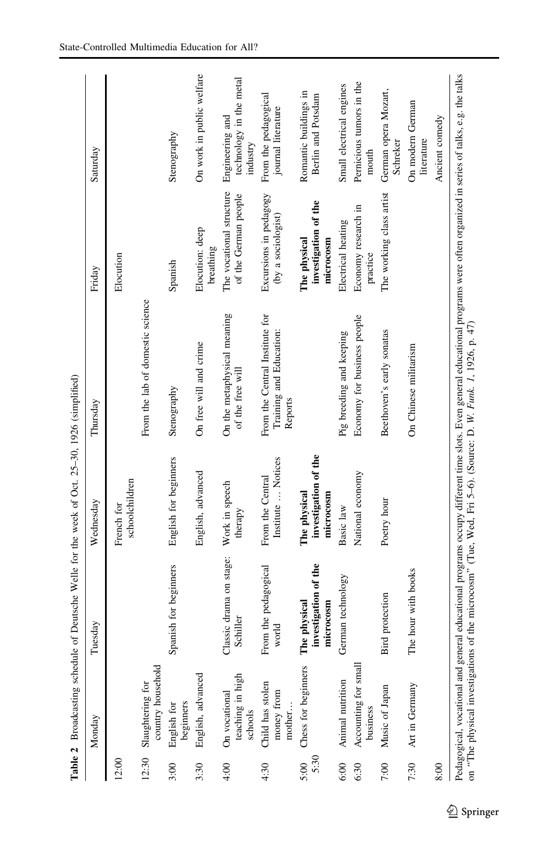<span id="page-12-0"></span>

|              |                                              |                                                   | Table 2 Broadcasting schedule of Deutsche Welle for the week of Oct. 25-30, 1926 (simplified) |                                                                                                                                                                                                                                                                                                |                                                   |                                                        |
|--------------|----------------------------------------------|---------------------------------------------------|-----------------------------------------------------------------------------------------------|------------------------------------------------------------------------------------------------------------------------------------------------------------------------------------------------------------------------------------------------------------------------------------------------|---------------------------------------------------|--------------------------------------------------------|
|              | Monday                                       | Tuesday                                           | Wednesday                                                                                     | Thursday                                                                                                                                                                                                                                                                                       | Friday                                            | Saturday                                               |
| 12:00        |                                              |                                                   | schoolchildren<br>French for                                                                  |                                                                                                                                                                                                                                                                                                | Elocution                                         |                                                        |
|              | country household<br>12:30 Slaughtering for  |                                                   |                                                                                               | From the lab of domestic science                                                                                                                                                                                                                                                               |                                                   |                                                        |
| 3:00         | beginners<br>English for                     | Spanish for beginners                             | English for beginners                                                                         | Stenography                                                                                                                                                                                                                                                                                    | Spanish                                           | Stenography                                            |
| 3:30         | English, advanced                            |                                                   | English, advanced                                                                             | On free will and crime                                                                                                                                                                                                                                                                         | Elocution: deep<br>breathing                      | On work in public welfare                              |
| 4.00         | teaching in high<br>On vocational<br>schools | Classic drama on stage:<br>Schiller               | Work in speech<br>therapy                                                                     | On the metaphysical meaning<br>of the free will                                                                                                                                                                                                                                                | The vocational structure<br>of the German people  | technology in the metal<br>Engineering and<br>industry |
| 4:30         | Child has stolen<br>money from<br>mother     | From the pedagogical<br>world                     | Institute  Notices<br>From the Central                                                        | From the Central Institute for<br>Training and Education:<br>Reports                                                                                                                                                                                                                           | Excursions in pedagogy<br>(by a sociologist)      | From the pedagogical<br>journal literature             |
| 5:30<br>5:00 | Chess for beginners                          | investigation of the<br>The physical<br>microcosm | investigation of the<br>The physical<br>microcosm                                             |                                                                                                                                                                                                                                                                                                | investigation of the<br>The physical<br>microcosm | Romantic buildings in<br>Berlin and Potsdam            |
| 6:00         | Animal nutrition                             | German technology                                 | Basic law                                                                                     | Pig breeding and keeping                                                                                                                                                                                                                                                                       | Electrical heating                                | Small electrical engines                               |
| 6:30         | Accounting for small<br>business             |                                                   | National economy                                                                              | Economy for business people                                                                                                                                                                                                                                                                    | Economy research in<br>practice                   | Pernicious tumors in the<br>mouth                      |
| 7:00         | Music of Japan                               | Bird protection                                   | Poetry hour                                                                                   | Beethoven's early sonatas                                                                                                                                                                                                                                                                      | The working class artist                          | German opera Mozart,<br>Schreker                       |
| 7:30         | Art in Germany                               | hour with books<br>Ĕ                              |                                                                                               | On Chinese militarism                                                                                                                                                                                                                                                                          |                                                   | On modern German<br>literature                         |
| 8:00         |                                              |                                                   |                                                                                               |                                                                                                                                                                                                                                                                                                |                                                   | Ancient comedy                                         |
|              |                                              |                                                   |                                                                                               | Pedagogical, vocational and general educational programs occupy different time slots. Even general educational programs were often organized in series of talks, e.g. the talks<br>on "The physical investigations of the microcosm" (Tue, Wed, Fri 5-6). (Source: D. W. Funk. 1, 1926, p. 47) |                                                   |                                                        |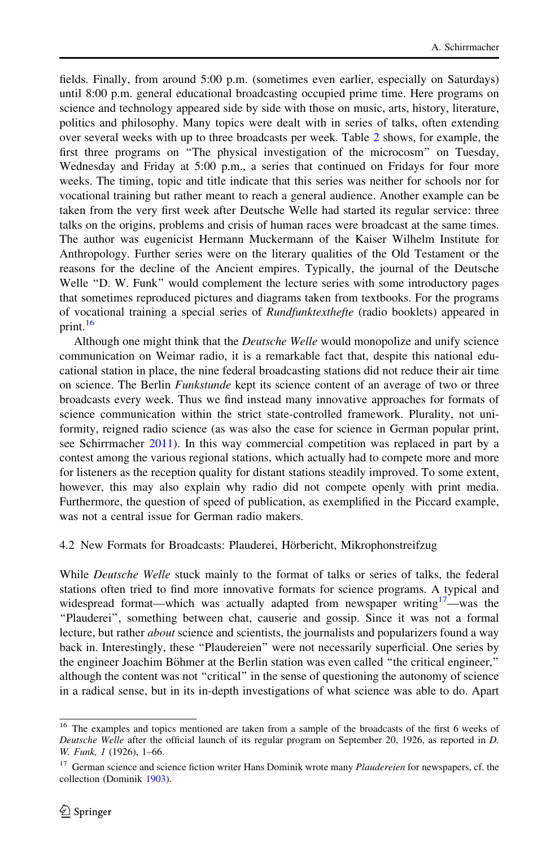fields. Finally, from around 5:00 p.m. (sometimes even earlier, especially on Saturdays) until 8:00 p.m. general educational broadcasting occupied prime time. Here programs on science and technology appeared side by side with those on music, arts, history, literature, politics and philosophy. Many topics were dealt with in series of talks, often extending over several weeks with up to three broadcasts per week. Table [2](#page-12-0) shows, for example, the first three programs on ''The physical investigation of the microcosm'' on Tuesday, Wednesday and Friday at 5:00 p.m., a series that continued on Fridays for four more weeks. The timing, topic and title indicate that this series was neither for schools nor for vocational training but rather meant to reach a general audience. Another example can be taken from the very first week after Deutsche Welle had started its regular service: three talks on the origins, problems and crisis of human races were broadcast at the same times. The author was eugenicist Hermann Muckermann of the Kaiser Wilhelm Institute for Anthropology. Further series were on the literary qualities of the Old Testament or the reasons for the decline of the Ancient empires. Typically, the journal of the Deutsche Welle "D. W. Funk" would complement the lecture series with some introductory pages that sometimes reproduced pictures and diagrams taken from textbooks. For the programs of vocational training a special series of Rundfunktexthefte (radio booklets) appeared in print. $16$ 

Although one might think that the Deutsche Welle would monopolize and unify science communication on Weimar radio, it is a remarkable fact that, despite this national educational station in place, the nine federal broadcasting stations did not reduce their air time on science. The Berlin *Funkstunde* kept its science content of an average of two or three broadcasts every week. Thus we find instead many innovative approaches for formats of science communication within the strict state-controlled framework. Plurality, not uniformity, reigned radio science (as was also the case for science in German popular print, see Schirrmacher [2011](#page-20-0)). In this way commercial competition was replaced in part by a contest among the various regional stations, which actually had to compete more and more for listeners as the reception quality for distant stations steadily improved. To some extent, however, this may also explain why radio did not compete openly with print media. Furthermore, the question of speed of publication, as exemplified in the Piccard example, was not a central issue for German radio makers.

4.2 New Formats for Broadcasts: Plauderei, Hörbericht, Mikrophonstreifzug

While *Deutsche Welle* stuck mainly to the format of talks or series of talks, the federal stations often tried to find more innovative formats for science programs. A typical and widespread format—which was actually adapted from newspaper writing<sup>17</sup>—was the ''Plauderei'', something between chat, causerie and gossip. Since it was not a formal lecture, but rather *about* science and scientists, the journalists and popularizers found a way back in. Interestingly, these ''Plaudereien'' were not necessarily superficial. One series by the engineer Joachim Böhmer at the Berlin station was even called "the critical engineer," although the content was not ''critical'' in the sense of questioning the autonomy of science in a radical sense, but in its in-depth investigations of what science was able to do. Apart

<sup>&</sup>lt;sup>16</sup> The examples and topics mentioned are taken from a sample of the broadcasts of the first 6 weeks of Deutsche Welle after the official launch of its regular program on September 20, 1926, as reported in D. W. Funk, 1 (1926), 1–66.

German science and science fiction writer Hans Dominik wrote many *Plaudereien* for newspapers, cf. the collection (Dominik [1903\)](#page-19-0).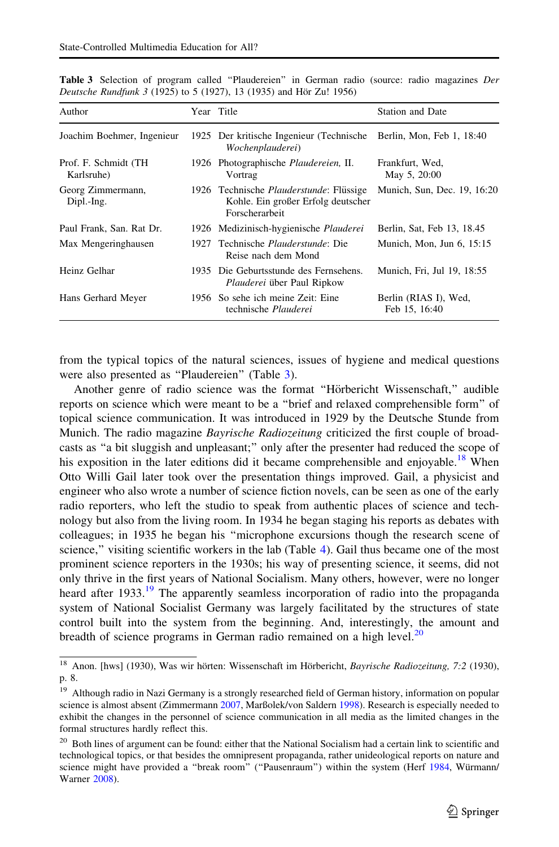| Author                             |      | Year Title                                                                                      | Station and Date                       |
|------------------------------------|------|-------------------------------------------------------------------------------------------------|----------------------------------------|
| Joachim Boehmer, Ingenieur         |      | 1925 Der kritische Ingenieur (Technische<br>Wochenplauderei)                                    | Berlin, Mon, Feb 1, 18:40              |
| Prof. F. Schmidt (TH<br>Karlsruhe) |      | 1926 Photographische Plaudereien, II.<br>Vortrag                                                | Frankfurt, Wed,<br>May 5, 20:00        |
| Georg Zimmermann,<br>Dipl.-Ing.    |      | 1926 Technische Plauderstunde: Flüssige<br>Kohle. Ein großer Erfolg deutscher<br>Forscherarbeit | Munich, Sun, Dec. 19, 16:20            |
| Paul Frank, San. Rat Dr.           |      | 1926 Medizinisch-hygienische Plauderei                                                          | Berlin, Sat, Feb 13, 18.45             |
| Max Mengeringhausen                |      | 1927 Technische Plauderstunde: Die<br>Reise nach dem Mond                                       | Munich, Mon, Jun 6, 15:15              |
| Heinz Gelhar                       | 1935 | Die Geburtsstunde des Fernsehens.<br><i>Plauderei</i> über Paul Ripkow                          | Munich, Fri, Jul 19, 18:55             |
| Hans Gerhard Meyer                 |      | 1956 So sehe ich meine Zeit: Eine<br>technische Plauderei                                       | Berlin (RIAS I), Wed,<br>Feb 15, 16:40 |

Table 3 Selection of program called "Plaudereien" in German radio (source: radio magazines Der Deutsche Rundfunk 3 (1925) to 5 (1927), 13 (1935) and Hör Zu! 1956)

from the typical topics of the natural sciences, issues of hygiene and medical questions were also presented as "Plaudereien" (Table 3).

Another genre of radio science was the format "Hörbericht Wissenschaft," audible reports on science which were meant to be a ''brief and relaxed comprehensible form'' of topical science communication. It was introduced in 1929 by the Deutsche Stunde from Munich. The radio magazine Bayrische Radiozeitung criticized the first couple of broadcasts as ''a bit sluggish and unpleasant;'' only after the presenter had reduced the scope of his exposition in the later editions did it became comprehensible and enjoyable.<sup>18</sup> When Otto Willi Gail later took over the presentation things improved. Gail, a physicist and engineer who also wrote a number of science fiction novels, can be seen as one of the early radio reporters, who left the studio to speak from authentic places of science and technology but also from the living room. In 1934 he began staging his reports as debates with colleagues; in 1935 he began his ''microphone excursions though the research scene of science," visiting scientific workers in the lab (Table [4\)](#page-15-0). Gail thus became one of the most prominent science reporters in the 1930s; his way of presenting science, it seems, did not only thrive in the first years of National Socialism. Many others, however, were no longer heard after 1933.<sup>19</sup> The apparently seamless incorporation of radio into the propaganda system of National Socialist Germany was largely facilitated by the structures of state control built into the system from the beginning. And, interestingly, the amount and breadth of science programs in German radio remained on a high level. $^{20}$ 

<sup>&</sup>lt;sup>18</sup> Anon. [hws] (1930), Was wir hörten: Wissenschaft im Hörbericht, Bayrische Radiozeitung, 7:2 (1930), p. 8.

<sup>&</sup>lt;sup>19</sup> Although radio in Nazi Germany is a strongly researched field of German history, information on popular science is almost absent (Zimmermann [2007](#page-20-0), Marßolek/von Saldern [1998\)](#page-20-0). Research is especially needed to exhibit the changes in the personnel of science communication in all media as the limited changes in the formal structures hardly reflect this.

<sup>&</sup>lt;sup>20</sup> Both lines of argument can be found: either that the National Socialism had a certain link to scientific and technological topics, or that besides the omnipresent propaganda, rather unideological reports on nature and science might have provided a "break room" ("Pausenraum") within the system (Herf [1984](#page-20-0), Würmann/ Warner [2008](#page-20-0)).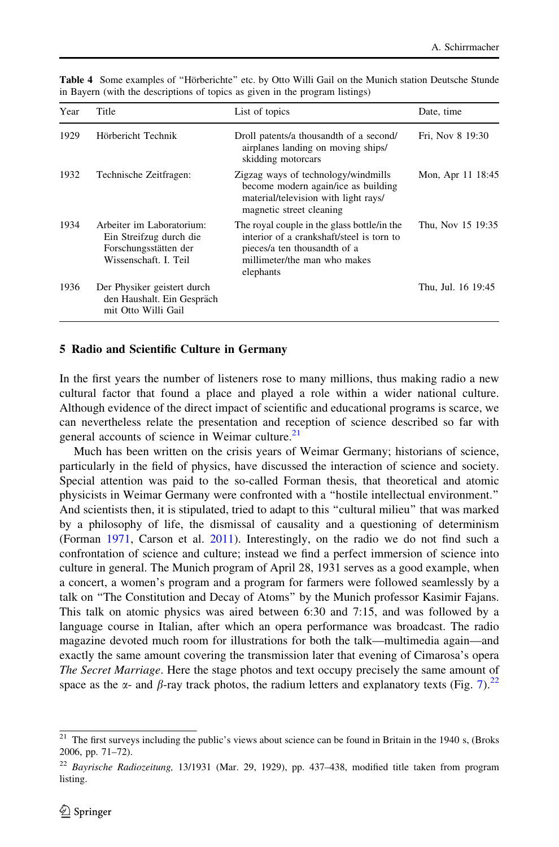| Year | Title                                                                                                  | List of topics                                                                                                                                                        | Date, time         |
|------|--------------------------------------------------------------------------------------------------------|-----------------------------------------------------------------------------------------------------------------------------------------------------------------------|--------------------|
| 1929 | Hörbericht Technik                                                                                     | Droll patents/a thousandth of a second/<br>airplanes landing on moving ships/<br>skidding motorcars                                                                   | Fri, Nov 8 19:30   |
| 1932 | Technische Zeitfragen:                                                                                 | Zigzag ways of technology/windmills<br>become modern again/ice as building<br>material/television with light rays/<br>magnetic street cleaning                        | Mon, Apr 11 18:45  |
| 1934 | Arbeiter im Laboratorium:<br>Ein Streifzug durch die<br>Forschungsstätten der<br>Wissenschaft. I. Teil | The royal couple in the glass bottle/in the<br>interior of a crankshaft/steel is torn to<br>pieces/a ten thousandth of a<br>millimeter/the man who makes<br>elephants | Thu, Nov 15 19:35  |
| 1936 | Der Physiker geistert durch<br>den Haushalt. Ein Gespräch<br>mit Otto Willi Gail                       |                                                                                                                                                                       | Thu, Jul. 16 19:45 |

<span id="page-15-0"></span>Table 4 Some examples of "Hörberichte" etc. by Otto Willi Gail on the Munich station Deutsche Stunde in Bayern (with the descriptions of topics as given in the program listings)

#### 5 Radio and Scientific Culture in Germany

In the first years the number of listeners rose to many millions, thus making radio a new cultural factor that found a place and played a role within a wider national culture. Although evidence of the direct impact of scientific and educational programs is scarce, we can nevertheless relate the presentation and reception of science described so far with general accounts of science in Weimar culture. $2<sup>1</sup>$ 

Much has been written on the crisis years of Weimar Germany; historians of science, particularly in the field of physics, have discussed the interaction of science and society. Special attention was paid to the so-called Forman thesis, that theoretical and atomic physicists in Weimar Germany were confronted with a ''hostile intellectual environment.'' And scientists then, it is stipulated, tried to adapt to this ''cultural milieu'' that was marked by a philosophy of life, the dismissal of causality and a questioning of determinism (Forman [1971,](#page-19-0) Carson et al. [2011](#page-19-0)). Interestingly, on the radio we do not find such a confrontation of science and culture; instead we find a perfect immersion of science into culture in general. The Munich program of April 28, 1931 serves as a good example, when a concert, a women's program and a program for farmers were followed seamlessly by a talk on ''The Constitution and Decay of Atoms'' by the Munich professor Kasimir Fajans. This talk on atomic physics was aired between 6:30 and 7:15, and was followed by a language course in Italian, after which an opera performance was broadcast. The radio magazine devoted much room for illustrations for both the talk—multimedia again—and exactly the same amount covering the transmission later that evening of Cimarosa's opera The Secret Marriage. Here the stage photos and text occupy precisely the same amount of space as the  $\alpha$ - and  $\beta$ -ray track photos, the radium letters and explanatory texts (Fig. [7](#page-16-0)).<sup>22</sup>

<sup>&</sup>lt;sup>21</sup> The first surveys including the public's views about science can be found in Britain in the 1940 s, (Broks 2006, pp. 71–72).

 $22$  Bayrische Radiozeitung, 13/1931 (Mar. 29, 1929), pp. 437-438, modified title taken from program listing.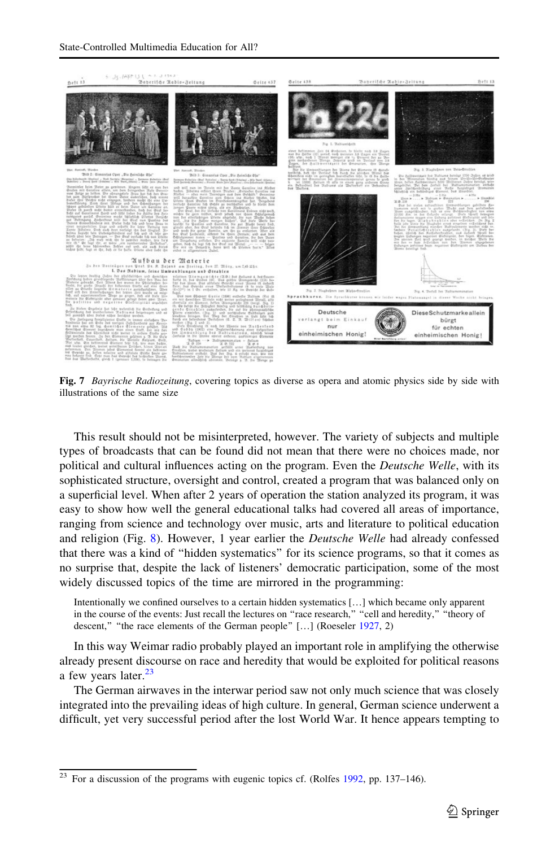<span id="page-16-0"></span>

Fig. 7 Bayrische Radiozeitung, covering topics as diverse as opera and atomic physics side by side with illustrations of the same size

This result should not be misinterpreted, however. The variety of subjects and multiple types of broadcasts that can be found did not mean that there were no choices made, nor political and cultural influences acting on the program. Even the *Deutsche Welle*, with its sophisticated structure, oversight and control, created a program that was balanced only on a superficial level. When after 2 years of operation the station analyzed its program, it was easy to show how well the general educational talks had covered all areas of importance, ranging from science and technology over music, arts and literature to political education and religion (Fig. [8\)](#page-17-0). However, 1 year earlier the Deutsche Welle had already confessed that there was a kind of ''hidden systematics'' for its science programs, so that it comes as no surprise that, despite the lack of listeners' democratic participation, some of the most widely discussed topics of the time are mirrored in the programming:

Intentionally we confined ourselves to a certain hidden systematics […] which became only apparent in the course of the events: Just recall the lectures on "race research," "cell and heredity," "theory of descent," "the race elements of the German people" [...] (Roeseler [1927](#page-20-0), 2)

In this way Weimar radio probably played an important role in amplifying the otherwise already present discourse on race and heredity that would be exploited for political reasons a few years later. $23$ 

The German airwaves in the interwar period saw not only much science that was closely integrated into the prevailing ideas of high culture. In general, German science underwent a difficult, yet very successful period after the lost World War. It hence appears tempting to

<sup>&</sup>lt;sup>23</sup> For a discussion of the programs with eugenic topics cf. (Rolfes [1992,](#page-20-0) pp. 137-146).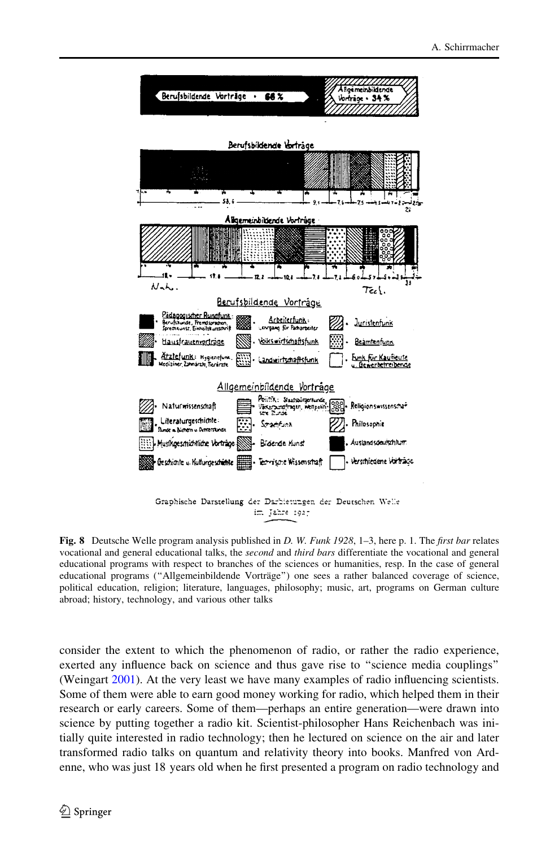<span id="page-17-0"></span>

Fig. 8 Deutsche Welle program analysis published in D. W. Funk 1928, 1–3, here p. 1. The first bar relates vocational and general educational talks, the second and third bars differentiate the vocational and general educational programs with respect to branches of the sciences or humanities, resp. In the case of general educational programs ("Allgemeinbildende Vorträge") one sees a rather balanced coverage of science, political education, religion; literature, languages, philosophy; music, art, programs on German culture abroad; history, technology, and various other talks

consider the extent to which the phenomenon of radio, or rather the radio experience, exerted any influence back on science and thus gave rise to ''science media couplings'' (Weingart [2001\)](#page-20-0). At the very least we have many examples of radio influencing scientists. Some of them were able to earn good money working for radio, which helped them in their research or early careers. Some of them—perhaps an entire generation—were drawn into science by putting together a radio kit. Scientist-philosopher Hans Reichenbach was initially quite interested in radio technology; then he lectured on science on the air and later transformed radio talks on quantum and relativity theory into books. Manfred von Ardenne, who was just 18 years old when he first presented a program on radio technology and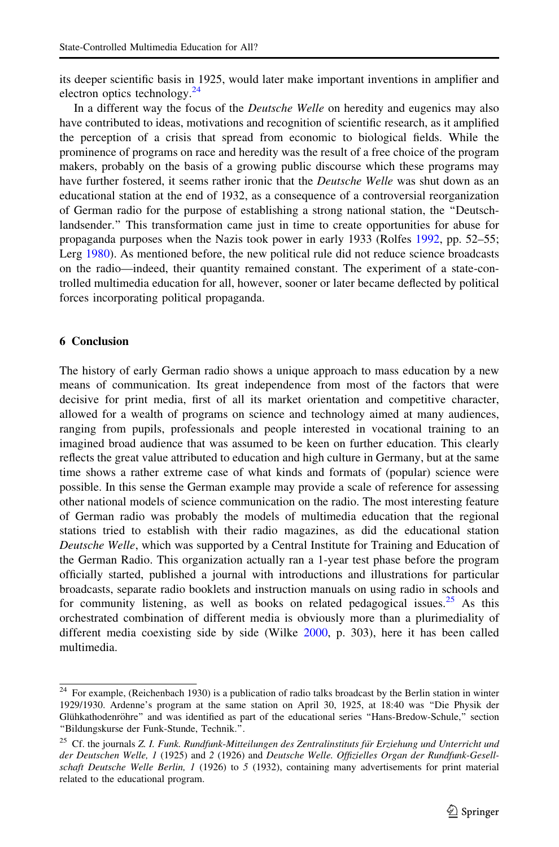its deeper scientific basis in 1925, would later make important inventions in amplifier and electron optics technology. $^{24}$ 

In a different way the focus of the Deutsche Welle on heredity and eugenics may also have contributed to ideas, motivations and recognition of scientific research, as it amplified the perception of a crisis that spread from economic to biological fields. While the prominence of programs on race and heredity was the result of a free choice of the program makers, probably on the basis of a growing public discourse which these programs may have further fostered, it seems rather ironic that the *Deutsche Welle* was shut down as an educational station at the end of 1932, as a consequence of a controversial reorganization of German radio for the purpose of establishing a strong national station, the ''Deutschlandsender.'' This transformation came just in time to create opportunities for abuse for propaganda purposes when the Nazis took power in early 1933 (Rolfes [1992,](#page-20-0) pp. 52–55; Lerg [1980](#page-20-0)). As mentioned before, the new political rule did not reduce science broadcasts on the radio—indeed, their quantity remained constant. The experiment of a state-controlled multimedia education for all, however, sooner or later became deflected by political forces incorporating political propaganda.

## 6 Conclusion

The history of early German radio shows a unique approach to mass education by a new means of communication. Its great independence from most of the factors that were decisive for print media, first of all its market orientation and competitive character, allowed for a wealth of programs on science and technology aimed at many audiences, ranging from pupils, professionals and people interested in vocational training to an imagined broad audience that was assumed to be keen on further education. This clearly reflects the great value attributed to education and high culture in Germany, but at the same time shows a rather extreme case of what kinds and formats of (popular) science were possible. In this sense the German example may provide a scale of reference for assessing other national models of science communication on the radio. The most interesting feature of German radio was probably the models of multimedia education that the regional stations tried to establish with their radio magazines, as did the educational station Deutsche Welle, which was supported by a Central Institute for Training and Education of the German Radio. This organization actually ran a 1-year test phase before the program officially started, published a journal with introductions and illustrations for particular broadcasts, separate radio booklets and instruction manuals on using radio in schools and for community listening, as well as books on related pedagogical issues.<sup>25</sup> As this orchestrated combination of different media is obviously more than a plurimediality of different media coexisting side by side (Wilke [2000,](#page-20-0) p. 303), here it has been called multimedia.

<sup>&</sup>lt;sup>24</sup> For example, (Reichenbach 1930) is a publication of radio talks broadcast by the Berlin station in winter 1929/1930. Ardenne's program at the same station on April 30, 1925, at 18:40 was ''Die Physik der Glühkathodenröhre" and was identified as part of the educational series "Hans-Bredow-Schule," section ''Bildungskurse der Funk-Stunde, Technik.''.

<sup>&</sup>lt;sup>25</sup> Cf. the journals Z. I. Funk. Rundfunk-Mitteilungen des Zentralinstituts für Erziehung und Unterricht und der Deutschen Welle, 1 (1925) and 2 (1926) and Deutsche Welle. Offizielles Organ der Rundfunk-Gesellschaft Deutsche Welle Berlin,  $1$  (1926) to 5 (1932), containing many advertisements for print material related to the educational program.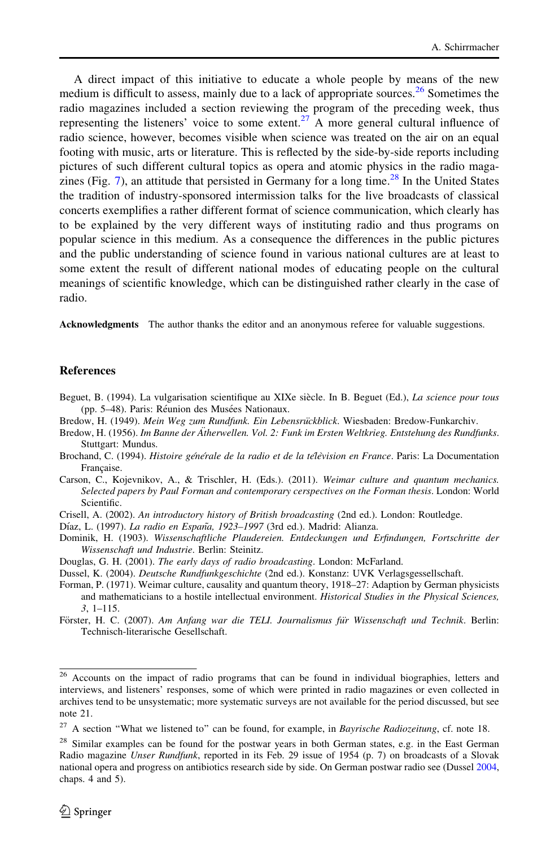<span id="page-19-0"></span>A direct impact of this initiative to educate a whole people by means of the new medium is difficult to assess, mainly due to a lack of appropriate sources.<sup>26</sup> Sometimes the radio magazines included a section reviewing the program of the preceding week, thus representing the listeners' voice to some extent.<sup>27</sup> A more general cultural influence of radio science, however, becomes visible when science was treated on the air on an equal footing with music, arts or literature. This is reflected by the side-by-side reports including pictures of such different cultural topics as opera and atomic physics in the radio maga-zines (Fig. [7\)](#page-16-0), an attitude that persisted in Germany for a long time.<sup>28</sup> In the United States the tradition of industry-sponsored intermission talks for the live broadcasts of classical concerts exemplifies a rather different format of science communication, which clearly has to be explained by the very different ways of instituting radio and thus programs on popular science in this medium. As a consequence the differences in the public pictures and the public understanding of science found in various national cultures are at least to some extent the result of different national modes of educating people on the cultural meanings of scientific knowledge, which can be distinguished rather clearly in the case of radio.

Acknowledgments The author thanks the editor and an anonymous referee for valuable suggestions.

#### References

- Beguet, B. (1994). La vulgarisation scientifique au XIXe siècle. In B. Beguet (Ed.), La science pour tous (pp. 5–48). Paris: Réunion des Musées Nationaux.
- Bredow, H. (1949). Mein Weg zum Rundfunk. Ein Lebensrückblick. Wiesbaden: Bredow-Funkarchiv.
- Bredow, H. (1956). Im Banne der Ätherwellen. Vol. 2: Funk im Ersten Weltkrieg. Entstehung des Rundfunks. Stuttgart: Mundus.
- Brochand, C. (1994). Histoire générale de la radio et de la telèvision en France. Paris: La Documentation Française.
- Carson, C., Kojevnikov, A., & Trischler, H. (Eds.). (2011). Weimar culture and quantum mechanics. Selected papers by Paul Forman and contemporary cerspectives on the Forman thesis. London: World Scientific.
- Crisell, A. (2002). An introductory history of British broadcasting (2nd ed.). London: Routledge.
- Díaz, L. (1997). La radio en España, 1923-1997 (3rd ed.). Madrid: Alianza.
- Dominik, H. (1903). Wissenschaftliche Plaudereien. Entdeckungen und Erfindungen, Fortschritte der Wissenschaft und Industrie. Berlin: Steinitz.
- Douglas, G. H. (2001). The early days of radio broadcasting. London: McFarland.
- Dussel, K. (2004). Deutsche Rundfunkgeschichte (2nd ed.). Konstanz: UVK Verlagsgessellschaft.
- Forman, P. (1971). Weimar culture, causality and quantum theory, 1918–27: Adaption by German physicists and mathematicians to a hostile intellectual environment. Historical Studies in the Physical Sciences, 3, 1–115.
- Förster, H. C. (2007). Am Anfang war die TELI. Journalismus für Wissenschaft und Technik. Berlin: Technisch-literarische Gesellschaft.

<sup>&</sup>lt;sup>26</sup> Accounts on the impact of radio programs that can be found in individual biographies, letters and interviews, and listeners' responses, some of which were printed in radio magazines or even collected in archives tend to be unsystematic; more systematic surveys are not available for the period discussed, but see note 21.

 $27$  A section "What we listened to" can be found, for example, in *Bayrische Radiozeitung*, cf. note 18.

<sup>&</sup>lt;sup>28</sup> Similar examples can be found for the postwar years in both German states, e.g. in the East German Radio magazine Unser Rundfunk, reported in its Feb. 29 issue of 1954 (p. 7) on broadcasts of a Slovak national opera and progress on antibiotics research side by side. On German postwar radio see (Dussel 2004, chaps. 4 and 5).